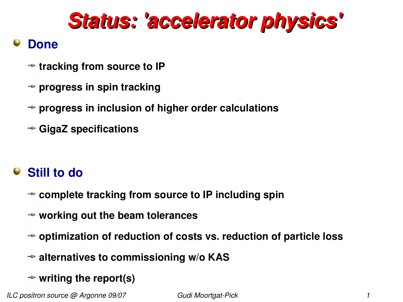# *Status: 'accelerator physics'*

### **Done**

- **tracking from source to IP**
- **progress in spin tracking**
- **progress in inclusion of higher order calculations**
- **GigaZ specifications**

## **Still to do**

- **complete tracking from source to IP including spin**
- **working out the beam tolerances**
- **optimization of reduction of costs vs. reduction of particle loss**
- **alternatives to commissioning w/o KAS**
- **writing the report(s)**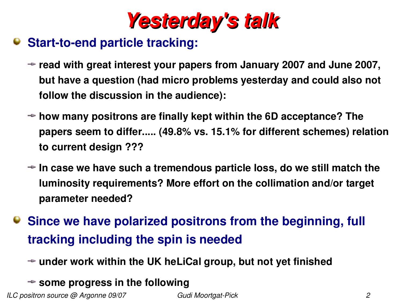

### **Start-to-end particle tracking:**

- **read with great interest your papers from January 2007 and June 2007, but have a question (had micro problems yesterday and could also not follow the discussion in the audience):**
- **how many positrons are finally kept within the 6D acceptance? The papers seem to differ..... (49.8% vs. 15.1% for different schemes) relation to current design ???**
- **In case we have such a tremendous particle loss, do we still match the luminosity requirements? More effort on the collimation and/or target parameter needed?**
- **Since we have polarized positrons from the beginning, full tracking including the spin is needed**
	- **under work within the UK heLiCal group, but not yet finished**
	- **some progress in the following**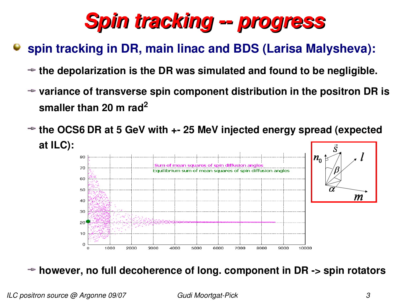

## **spin tracking in DR, main linac and BDS (Larisa Malysheva):**

- **the depolarization is the DR was simulated and found to be negligible.**
- **variance of transverse spin component distribution in the positron DR is smaller than 20 m rad<sup>2</sup>**
- **the OCS6 DR at 5 GeV with + 25 MeV injected energy spread (expected at ILC):**



**however, no full decoherence of long. component in DR > spin rotators**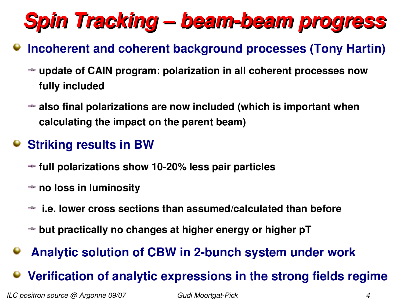# *Spin Tracking – beambeam progress*

## **Incoherent and coherent background processes (Tony Hartin)**

- **update of CAIN program: polarization in all coherent processes now fully included**
- **also final polarizations are now included (which is important when calculating the impact on the parent beam)**

## **Striking results in BW**

- **full polarizations show 1020% less pair particles**
- **no loss in luminosity**
- **i.e. lower cross sections than assumed/calculated than before**
- **but practically no changes at higher energy or higher pT**
- **Analytic solution of CBW in 2bunch system under work**

## **Verification of analytic expressions in the strong fields regime**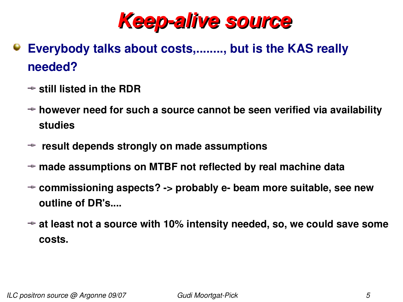

- **Everybody talks about costs,........, but is the KAS really needed?**
	- **still listed in the RDR**
	- **however need for such a source cannot be seen verified via availability studies**
	- **result depends strongly on made assumptions**
	- **made assumptions on MTBF not reflected by real machine data**
	- **commissioning aspects? > probably e beam more suitable, see new outline of DR's....**
	- **at least not a source with 10% intensity needed, so, we could save some costs.**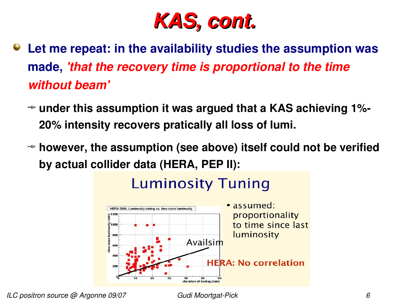

- **Let me repeat: in the availability studies the assumption was made,** *'that the recovery time is proportional to the time without beam'*
	- **under this assumption it was argued that a KAS achieving 1% 20% intensity recovers pratically all loss of lumi.**
	- **however, the assumption (see above) itself could not be verified by actual collider data (HERA, PEP II):**



# **Luminosity Tuning**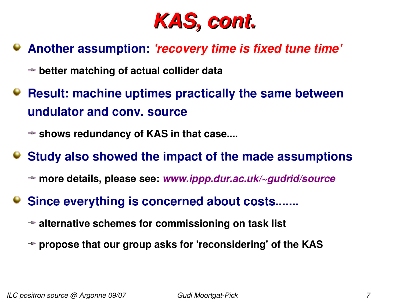

### **Another assumption:** *'recovery time is fixed tune time'*

- **better matching of actual collider data**
- **Result: machine uptimes practically the same between undulator and conv. source**
	- **shows redundancy of KAS in that case....**
- **Study also showed the impact of the made assumptions**
	- **more details, please see:** *www.ippp.dur.ac.uk/~gudrid/source*
- **Since everything is concerned about costs.......**
	- **alternative schemes for commissioning on task list**
	- **propose that our group asks for 'reconsidering' of the KAS**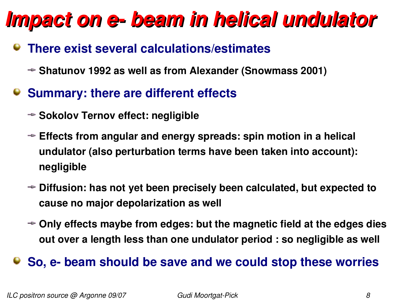# *Impact on e beam in helical undulator*

### **There exist several calculations/estimates**

- **Shatunov 1992 as well as from Alexander (Snowmass 2001)**
- **Summary: there are different effects**
	- **→ Sokolov Ternov effect: negligible**
	- **Effects from angular and energy spreads: spin motion in a helical undulator (also perturbation terms have been taken into account): negligible**
	- **Diffusion: has not yet been precisely been calculated, but expected to cause no major depolarization as well**
	- **Only effects maybe from edges: but the magnetic field at the edges dies out over a length less than one undulator period : so negligible as well**

### **So, e beam should be save and we could stop these worries**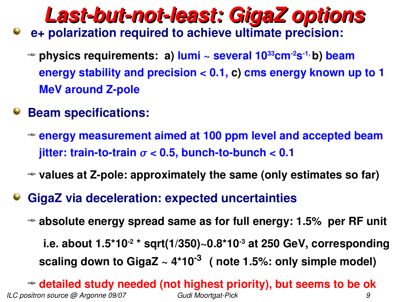# *Lastbutnotleast: GigaZ options* **e+ polarization required to achieve ultimate precision:**

- **physics requirements: a) lumi ~ several 1033cm2s 1, b) beam energy stability and precision < 0.1, c) cms energy known up to 1 MeV around Z-pole**
- **Beam specifications:** 
	- **energy measurement aimed at 100 ppm level and accepted beam jitter: train-to-train**  $\sigma$  **< 0.5, bunch-to-bunch < 0.1**
	- $\rightarrow$  **values at Z-pole: approximately the same (only estimates so far)**
- **GigaZ via deceleration: expected uncertainties** 
	- **absolute energy spread same as for full energy: 1.5% per RF unit i.e. about 1.5\*10 2 \* sqrt(1/350)~0.8\*103 at 250 GeV, corresponding scaling down to GigaZ ~ 4\*10 3 ( note 1.5%: only simple model)**

*ILC positron source @ Argonne 09/07 Gudi MoortgatPick 9* **detailed study needed (not highest priority), but seems to be ok**